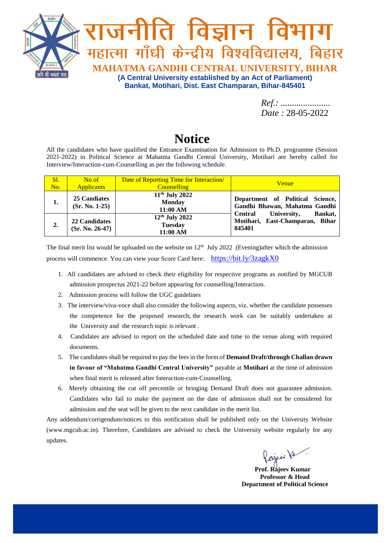

*Ref.: ...................... Date :* 28-05-2022

## **Notice**

All the candidates who have qualified the Entrance Examination for Admission to Ph.D. programme (Session 2021-2022) in Political Science at Mahatma Gandhi Central University, Motihari are hereby called for Interview/Interaction-cum-Counselling as per the following schedule.

| S1.<br>No. | No of<br><b>Applicants</b>         | Date of Reporting Time for Interaction/<br><b>Counselling</b> | <b>Venue</b>                                                                          |
|------------|------------------------------------|---------------------------------------------------------------|---------------------------------------------------------------------------------------|
| 1.         | 25 Candiates<br>$(Sr. No. 1-25)$   | 11 <sup>th</sup> July 2022<br><b>Monday</b><br>11:00 AM       | Department of Political Science,<br>Gandhi Bhawan, Mahatma Gandhi                     |
| 2.         | 22 Candidates<br>$(Sr. No. 26-47)$ | $12th$ July 2022<br><b>Tuesday</b><br>11:00 AM                | University,<br>Bankat,<br><b>Central</b><br>Motihari, East-Champaran, Bihar<br>845401 |

The final merit list would be uploaded on the website on  $12<sup>th</sup>$  July 2022 (Evening)after which the admission process will commence. You can view your Score Card here: <https://bit.ly/3zagkX0>

- 1. All candidates are advised to check their eligibility for respective programs as notified by MGCUB admission prospectus 2021-22 before appearing for counselling/Interaction.
- 2. Admission process will follow the UGC guidelines
- 3. The interview/viva-voce shall also consider the following aspects, viz. whether the candidate possesses the competence for the proposed research; the research work can be suitably undertaken at the University and the research topic is relevant .
- 4. Candidates are advised to report on the scheduled date and time to the venue along with required documents.
- 5. The candidates shall be required to pay the fees in the form of **Demand Draft/through Challan drawn in favour of "Mahatma Gandhi Central University"** payable at **Motihari** at the time of admission when final merit is released after Interaction-cum-Counselling.
- 6. Merely obtaining the cut off percentile or bringing Demand Draft does not guarantee admission. Candidates who fail to make the payment on the date of admission shall not be considered for admission and the seat will be given to the next candidate in the merit list.

Any addendum/corrigendum/notices to this notification shall be published only on the University Website (www.mgcub.ac.in). Therefore, Candidates are advised to check the University website regularly for any updates.

Rajees Ve

 **Prof. Rajeev Kumar Professor & Head Department of Political Science**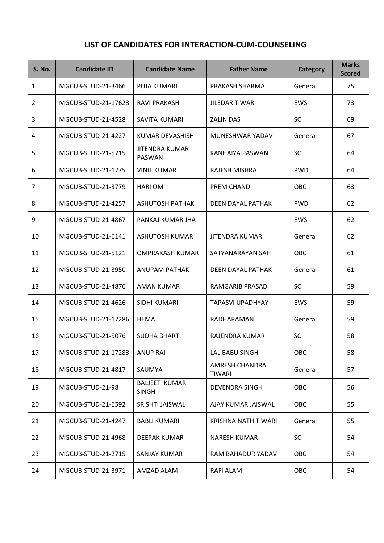## **LIST OF CANDIDATES FOR INTERACTION-CUM-COUNSELING**

| <b>S. No.</b> | <b>Candidate ID</b> | <b>Candidate Name</b>                  | <b>Father Name</b>              | <b>Category</b> | <b>Marks</b><br><b>Scored</b> |
|---------------|---------------------|----------------------------------------|---------------------------------|-----------------|-------------------------------|
| 1             | MGCUB-STUD-21-3466  | PUJA KUMARI                            | PRAKASH SHARMA                  | General         | 75                            |
| 2             | MGCUB-STUD-21-17623 | RAVI PRAKASH                           | <b>JILEDAR TIWARI</b>           | <b>EWS</b>      | 73                            |
| 3             | MGCUB-STUD-21-4528  | SAVITA KUMARI                          | <b>ZALIN DAS</b>                | <b>SC</b>       | 69                            |
| 4             | MGCUB-STUD-21-4227  | KUMAR DEVASHISH                        | MUNESHWAR YADAV                 | General         | 67                            |
| 5             | MGCUB-STUD-21-5715  | <b>JITENDRA KUMAR</b><br><b>PASWAN</b> | KANHAIYA PASWAN                 | <b>SC</b>       | 64                            |
| 6             | MGCUB-STUD-21-1775  | <b>VINIT KUMAR</b>                     | RAJESH MISHRA                   | <b>PWD</b>      | 64                            |
| 7             | MGCUB-STUD-21-3779  | <b>HARIOM</b>                          | PREM CHAND                      | OBC             | 63                            |
| 8             | MGCUB-STUD-21-4257  | <b>ASHUTOSH PATHAK</b>                 | DEEN DAYAL PATHAK               | <b>PWD</b>      | 62                            |
| 9             | MGCUB-STUD-21-4867  | PANKAJ KUMAR JHA                       |                                 | <b>EWS</b>      | 62                            |
| 10            | MGCUB-STUD-21-6141  | <b>ASHUTOSH KUMAR</b>                  | <b>JITENDRA KUMAR</b>           | General         | 62                            |
| 11            | MGCUB-STUD-21-5121  | <b>OMPRAKASH KUMAR</b>                 | SATYANARAYAN SAH                | OBC             | 61                            |
| 12            | MGCUB-STUD-21-3950  | <b>ANUPAM PATHAK</b>                   | DEEN DAYAL PATHAK               | General         | 61                            |
| 13            | MGCUB-STUD-21-4876  | <b>AMAN KUMAR</b>                      | RAMGARIB PRASAD                 | <b>SC</b>       | 59                            |
| 14            | MGCUB-STUD-21-4626  | SIDHI KUMARI                           | <b>TAPASVI UPADHYAY</b>         | <b>EWS</b>      | 59                            |
| 15            | MGCUB-STUD-21-17286 | <b>HEMA</b>                            | RADHARAMAN                      | General         | 59                            |
| 16            | MGCUB-STUD-21-5076  | <b>SUDHA BHARTI</b>                    | RAJENDRA KUMAR                  | <b>SC</b>       | 58                            |
| 17            | MGCUB-STUD-21-17283 | <b>ANUP RAJ</b>                        | LAL BABU SINGH                  | OBC             | 58                            |
| 18            | MGCUB-STUD-21-4817  | SAUMYA                                 | AMRESH CHANDRA<br><b>TIWARI</b> | General         | 57                            |
| 19            | MGCUB-STUD-21-98    | <b>BALJEET KUMAR</b><br><b>SINGH</b>   | <b>DEVENDRA SINGH</b>           | OBC             | 56                            |
| 20            | MGCUB-STUD-21-6592  | SRISHTI JAISWAL                        | AJAY KUMAR JAISWAL              | OBC             | 55                            |
| 21            | MGCUB-STUD-21-4247  | <b>BABLI KUMARI</b>                    | KRISHNA NATH TIWARI             | General         | 55                            |
| 22            | MGCUB-STUD-21-4968  | DEEPAK KUMAR                           | <b>NARESH KUMAR</b>             | <b>SC</b>       | 54                            |
| 23            | MGCUB-STUD-21-2715  | SANJAY KUMAR                           | RAM BAHADUR YADAV               | OBC             | 54                            |
| 24            | MGCUB-STUD-21-3971  | AMZAD ALAM                             | RAFI ALAM                       | OBC             | 54                            |